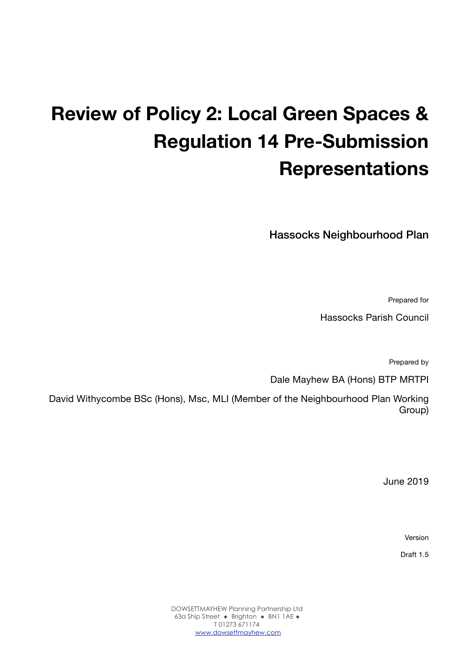# **Review of Policy 2: Local Green Spaces & Regulation 14 Pre-Submission Representations**

Hassocks Neighbourhood Plan

Prepared for

Hassocks Parish Council

Prepared by

Dale Mayhew BA (Hons) BTP MRTPI

David Withycombe BSc (Hons), Msc, MLI (Member of the Neighbourhood Plan Working Group)

June 2019

Version

Draft 1.5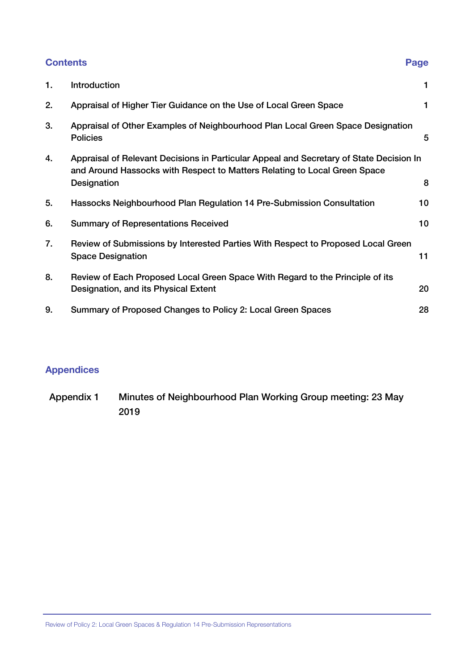### **Contents Page**

| 1. | Introduction                                                                                                                                                                        | 1  |
|----|-------------------------------------------------------------------------------------------------------------------------------------------------------------------------------------|----|
| 2. | Appraisal of Higher Tier Guidance on the Use of Local Green Space                                                                                                                   |    |
| 3. | Appraisal of Other Examples of Neighbourhood Plan Local Green Space Designation<br><b>Policies</b>                                                                                  | 5  |
| 4. | Appraisal of Relevant Decisions in Particular Appeal and Secretary of State Decision In<br>and Around Hassocks with Respect to Matters Relating to Local Green Space<br>Designation | 8  |
| 5. | Hassocks Neighbourhood Plan Regulation 14 Pre-Submission Consultation                                                                                                               | 10 |
| 6. | <b>Summary of Representations Received</b>                                                                                                                                          | 10 |
| 7. | Review of Submissions by Interested Parties With Respect to Proposed Local Green<br><b>Space Designation</b>                                                                        | 11 |
| 8. | Review of Each Proposed Local Green Space With Regard to the Principle of its<br>Designation, and its Physical Extent                                                               | 20 |
| 9. | Summary of Proposed Changes to Policy 2: Local Green Spaces                                                                                                                         | 28 |

### **Appendices**

Appendix 1 Minutes of Neighbourhood Plan Working Group meeting: 23 May 2019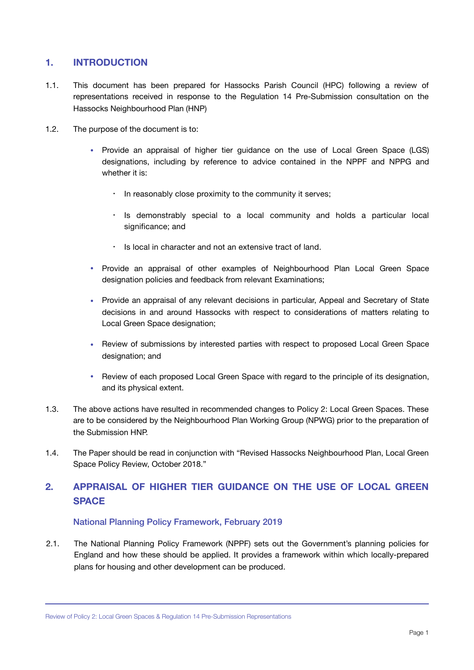#### <span id="page-2-0"></span>**1. INTRODUCTION**

- 1.1. This document has been prepared for Hassocks Parish Council (HPC) following a review of representations received in response to the Regulation 14 Pre-Submission consultation on the Hassocks Neighbourhood Plan (HNP)
- 1.2. The purpose of the document is to:
	- Provide an appraisal of higher tier guidance on the use of Local Green Space (LGS) designations, including by reference to advice contained in the NPPF and NPPG and whether it is:
		- In reasonably close proximity to the community it serves;
		- Is demonstrably special to a local community and holds a particular local significance; and
		- Is local in character and not an extensive tract of land.
	- Provide an appraisal of other examples of Neighbourhood Plan Local Green Space designation policies and feedback from relevant Examinations;
	- Provide an appraisal of any relevant decisions in particular, Appeal and Secretary of State decisions in and around Hassocks with respect to considerations of matters relating to Local Green Space designation;
	- Review of submissions by interested parties with respect to proposed Local Green Space designation; and
	- Review of each proposed Local Green Space with regard to the principle of its designation, and its physical extent.
- 1.3. The above actions have resulted in recommended changes to Policy 2: Local Green Spaces. These are to be considered by the Neighbourhood Plan Working Group (NPWG) prior to the preparation of the Submission HNP.
- 1.4. The Paper should be read in conjunction with "Revised Hassocks Neighbourhood Plan, Local Green Space Policy Review, October 2018."

### <span id="page-2-1"></span>**2. APPRAISAL OF HIGHER TIER GUIDANCE ON THE USE OF LOCAL GREEN SPACE**

#### National Planning Policy Framework, February 2019

2.1. The National Planning Policy Framework (NPPF) sets out the Government's planning policies for England and how these should be applied. It provides a framework within which locally-prepared plans for housing and other development can be produced.

Review of Policy 2: Local Green Spaces & Regulation 14 Pre-Submission Representations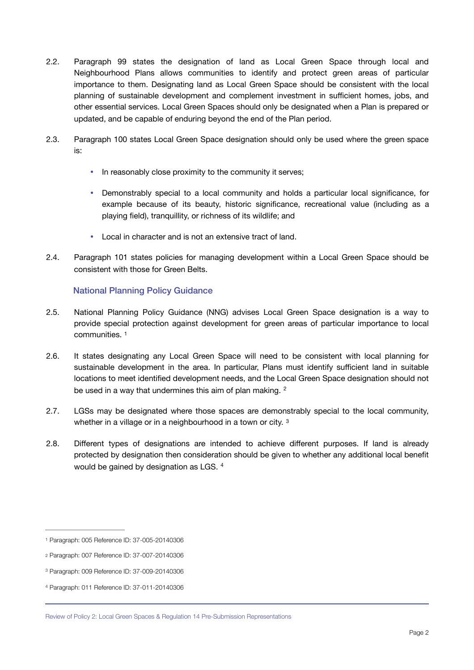- 2.2. Paragraph 99 states the designation of land as Local Green Space through local and Neighbourhood Plans allows communities to identify and protect green areas of particular importance to them. Designating land as Local Green Space should be consistent with the local planning of sustainable development and complement investment in sufficient homes, jobs, and other essential services. Local Green Spaces should only be designated when a Plan is prepared or updated, and be capable of enduring beyond the end of the Plan period.
- 2.3. Paragraph 100 states Local Green Space designation should only be used where the green space is:
	- In reasonably close proximity to the community it serves;
	- Demonstrably special to a local community and holds a particular local significance, for example because of its beauty, historic significance, recreational value (including as a playing field), tranquillity, or richness of its wildlife; and
	- Local in character and is not an extensive tract of land.
- 2.4. Paragraph 101 states policies for managing development within a Local Green Space should be consistent with those for Green Belts.

#### <span id="page-3-5"></span><span id="page-3-4"></span>National Planning Policy Guidance

- 2.5. National Planning Policy Guidance (NNG) advises Local Green Space designation is a way to provide special protection against development for green areas of particular importance to local communities. [1](#page-3-0)
- 2.6. It states designating any Local Green Space will need to be consistent with local planning for sustainable development in the area. In particular, Plans must identify sufficient land in suitable locations to meet identified development needs, and the Local Green Space designation should not be used in a way that undermines this aim of plan making. <sup>[2](#page-3-1)</sup>
- <span id="page-3-6"></span>2.7. LGSs may be designated where those spaces are demonstrably special to the local community, whether in a village or in a neighbourhood in a town or city. [3](#page-3-2)
- <span id="page-3-7"></span>2.8. Different types of designations are intended to achieve different purposes. If land is already protected by designation then consideration should be given to whether any additional local benefit would be gained by designation as LGS. [4](#page-3-3)

<span id="page-3-0"></span>[<sup>1</sup>](#page-3-4) Paragraph: 005 Reference ID: 37-005-20140306

<span id="page-3-1"></span>[<sup>2</sup>](#page-3-5) Paragraph: 007 Reference ID: 37-007-20140306

<span id="page-3-2"></span>[<sup>3</sup>](#page-3-6) Paragraph: 009 Reference ID: 37-009-20140306

<span id="page-3-3"></span>[<sup>4</sup>](#page-3-7) Paragraph: 011 Reference ID: 37-011-20140306

Review of Policy 2: Local Green Spaces & Regulation 14 Pre-Submission Representations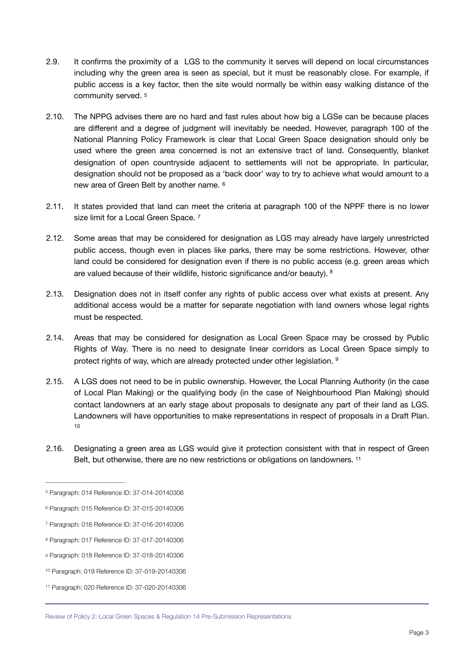- 2.9. It confirms the proximity of a LGS to the community it serves will depend on local circumstances including why the green area is seen as special, but it must be reasonably close. For example, if public access is a key factor, then the site would normally be within easy walking distance of the community served. [5](#page-4-0)
- <span id="page-4-7"></span>2.10. The NPPG advises there are no hard and fast rules about how big a LGSe can be because places are different and a degree of judgment will inevitably be needed. However, [paragraph 100](https://www.gov.uk/guidance/national-planning-policy-framework/8-promoting-healthy-and-safe-communities#para100) of the National Planning Policy Framework is clear that Local Green Space designation should only be used where the green area concerned is not an extensive tract of land. Consequently, blanket designation of open countryside adjacent to settlements will not be appropriate. In particular, designation should not be proposed as a 'back door' way to try to achieve what would amount to a new area of Green Belt by another name. [6](#page-4-1)
- <span id="page-4-9"></span><span id="page-4-8"></span>2.11. It states provided that land can meet the criteria at [paragraph 100](https://www.gov.uk/guidance/national-planning-policy-framework/8-promoting-healthy-and-safe-communities#para100) of the NPPF there is no lower size limit for a Local Green Space. [7](#page-4-2)
- 2.12. Some areas that may be considered for designation as LGS may already have largely unrestricted public access, though even in places like parks, there may be some restrictions. However, other land could be considered for designation even if there is no public access (e.g. green areas which are valued because of their wildlife, historic significance and/or beauty). [8](#page-4-3)
- <span id="page-4-10"></span>2.13. Designation does not in itself confer any rights of public access over what exists at present. Any additional access would be a matter for separate negotiation with land owners whose legal rights must be respected.
- 2.14. Areas that may be considered for designation as Local Green Space may be crossed by Public Rights of Way. There is no need to designate linear corridors as Local Green Space simply to protect rights of way, which are already protected under other legislation. <sup>9</sup>
- <span id="page-4-11"></span>2.15. A LGS does not need to be in public ownership. However, the Local Planning Authority (in the case of Local Plan Making) or the qualifying body (in the case of Neighbourhood Plan Making) should contact landowners at an early stage about proposals to designate any part of their land as LGS. Landowners will have opportunities to make representations in respect of proposals in a Draft Plan. [10](#page-4-5)
- <span id="page-4-13"></span><span id="page-4-12"></span>2.16. Designating a green area as LGS would give it protection consistent with that in respect of Green Belt, but otherwise, there are no new restrictions or obligations on landowners. [11](#page-4-6)

<span id="page-4-0"></span>[<sup>5</sup>](#page-4-7) Paragraph: 014 Reference ID: 37-014-20140306

<span id="page-4-1"></span>[<sup>6</sup>](#page-4-8) Paragraph: 015 Reference ID: 37-015-20140306

<span id="page-4-2"></span>[<sup>7</sup>](#page-4-9) Paragraph: 016 Reference ID: 37-016-20140306

<span id="page-4-3"></span>[<sup>8</sup>](#page-4-10) Paragraph: 017 Reference ID: 37-017-20140306

<span id="page-4-4"></span>[<sup>9</sup>](#page-4-11) Paragraph: 018 Reference ID: 37-018-20140306

<span id="page-4-5"></span>[<sup>10</sup>](#page-4-12) Paragraph: 019 Reference ID: 37-019-20140306

<span id="page-4-6"></span>[<sup>11</sup>](#page-4-13) Paragraph: 020 Reference ID: 37-020-20140306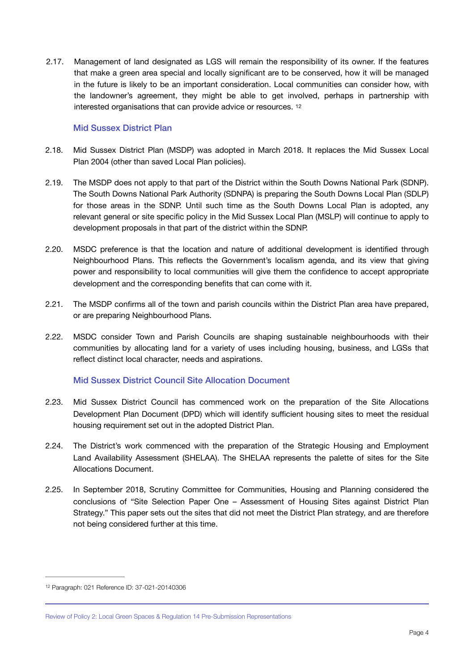2.17. Management of land designated as LGS will remain the responsibility of its owner. If the features that make a green area special and locally significant are to be conserved, how it will be managed in the future is likely to be an important consideration. Local communities can consider how, with the landowner's agreement, they might be able to get involved, perhaps in partnership with interested organisations that can provide advice or resources. [12](#page-5-0)

#### <span id="page-5-1"></span>Mid Sussex District Plan

- 2.18. Mid Sussex District Plan (MSDP) was adopted in March 2018. It replaces the Mid Sussex Local Plan 2004 (other than saved Local Plan policies).
- 2.19. The MSDP does not apply to that part of the District within the South Downs National Park (SDNP). The South Downs National Park Authority (SDNPA) is preparing the South Downs Local Plan (SDLP) for those areas in the SDNP. Until such time as the South Downs Local Plan is adopted, any relevant general or site specific policy in the Mid Sussex Local Plan (MSLP) will continue to apply to development proposals in that part of the district within the SDNP.
- 2.20. MSDC preference is that the location and nature of additional development is identified through Neighbourhood Plans. This reflects the Government's localism agenda, and its view that giving power and responsibility to local communities will give them the confidence to accept appropriate development and the corresponding benefits that can come with it.
- 2.21. The MSDP confirms all of the town and parish councils within the District Plan area have prepared, or are preparing Neighbourhood Plans.
- 2.22. MSDC consider Town and Parish Councils are shaping sustainable neighbourhoods with their communities by allocating land for a variety of uses including housing, business, and LGSs that reflect distinct local character, needs and aspirations.

#### Mid Sussex District Council Site Allocation Document

- 2.23. Mid Sussex District Council has commenced work on the preparation of the Site Allocations Development Plan Document (DPD) which will identify sufficient housing sites to meet the residual housing requirement set out in the adopted District Plan.
- 2.24. The District's work commenced with the preparation of the Strategic Housing and Employment Land Availability Assessment (SHELAA). The SHELAA represents the palette of sites for the Site Allocations Document.
- 2.25. In September 2018, Scrutiny Committee for Communities, Housing and Planning considered the conclusions of "Site Selection Paper One – Assessment of Housing Sites against District Plan Strategy." This paper sets out the sites that did not meet the District Plan strategy, and are therefore not being considered further at this time.

<span id="page-5-0"></span>[<sup>12</sup>](#page-5-1) Paragraph: 021 Reference ID: 37-021-20140306

Review of Policy 2: Local Green Spaces & Regulation 14 Pre-Submission Representations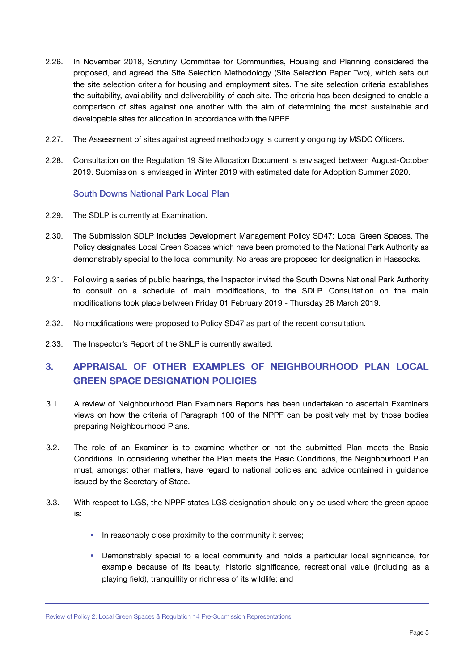- 2.26. In November 2018, Scrutiny Committee for Communities, Housing and Planning considered the proposed, and agreed the Site Selection Methodology (Site Selection Paper Two), which sets out the site selection criteria for housing and employment sites. The site selection criteria establishes the suitability, availability and deliverability of each site. The criteria has been designed to enable a comparison of sites against one another with the aim of determining the most sustainable and developable sites for allocation in accordance with the NPPF.
- 2.27. The Assessment of sites against agreed methodology is currently ongoing by MSDC Officers.
- 2.28. Consultation on the Regulation 19 Site Allocation Document is envisaged between August-October 2019. Submission is envisaged in Winter 2019 with estimated date for Adoption Summer 2020.

#### South Downs National Park Local Plan

- 2.29. The SDLP is currently at Examination.
- 2.30. The Submission SDLP includes Development Management Policy SD47: Local Green Spaces. The Policy designates Local Green Spaces which have been promoted to the National Park Authority as demonstrably special to the local community. No areas are proposed for designation in Hassocks.
- 2.31. Following a series of public hearings, the Inspector invited the South Downs National Park Authority to consult on a schedule of main modifications, to the SDLP. Consultation on the main modifications took place between Friday 01 February 2019 - Thursday 28 March 2019.
- 2.32. No modifications were proposed to Policy SD47 as part of the recent consultation.
- 2.33. The Inspector's Report of the SNLP is currently awaited.

### <span id="page-6-0"></span>**3. APPRAISAL OF OTHER EXAMPLES OF NEIGHBOURHOOD PLAN LOCAL GREEN SPACE DESIGNATION POLICIES**

- 3.1. A review of Neighbourhood Plan Examiners Reports has been undertaken to ascertain Examiners views on how the criteria of Paragraph 100 of the NPPF can be positively met by those bodies preparing Neighbourhood Plans.
- 3.2. The role of an Examiner is to examine whether or not the submitted Plan meets the Basic Conditions. In considering whether the Plan meets the Basic Conditions, the Neighbourhood Plan must, amongst other matters, have regard to national policies and advice contained in guidance issued by the Secretary of State.
- 3.3. With respect to LGS, the NPPF states LGS designation should only be used where the green space is:
	- In reasonably close proximity to the community it serves;
	- Demonstrably special to a local community and holds a particular local significance, for example because of its beauty, historic significance, recreational value (including as a playing field), tranquillity or richness of its wildlife; and

Review of Policy 2: Local Green Spaces & Regulation 14 Pre-Submission Representations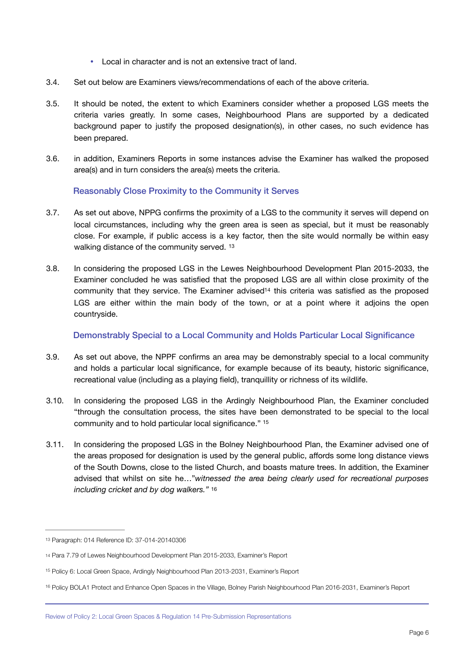- Local in character and is not an extensive tract of land.
- 3.4. Set out below are Examiners views/recommendations of each of the above criteria.
- 3.5. It should be noted, the extent to which Examiners consider whether a proposed LGS meets the criteria varies greatly. In some cases, Neighbourhood Plans are supported by a dedicated background paper to justify the proposed designation(s), in other cases, no such evidence has been prepared.
- 3.6. in addition, Examiners Reports in some instances advise the Examiner has walked the proposed area(s) and in turn considers the area(s) meets the criteria.

#### <span id="page-7-4"></span>Reasonably Close Proximity to the Community it Serves

- 3.7. As set out above, NPPG confirms the proximity of a LGS to the community it serves will depend on local circumstances, including why the green area is seen as special, but it must be reasonably close. For example, if public access is a key factor, then the site would normally be within easy walking distance of the community served. [13](#page-7-0)
- 3.8. In considering the proposed LGS in the Lewes Neighbourhood Development Plan 2015-2033, the Examiner concluded he was satisfied that the proposed LGS are all within close proximity of the community that they service. The Examiner advised<sup>14</sup> this criteria was satisfie[d](#page-7-1) as the proposed LGS are either within the main body of the town, or at a point where it adjoins the open countryside.

#### <span id="page-7-6"></span><span id="page-7-5"></span>Demonstrably Special to a Local Community and Holds Particular Local Significance

- 3.9. As set out above, the NPPF confirms an area may be demonstrably special to a local community and holds a particular local significance, for example because of its beauty, historic significance, recreational value (including as a playing field), tranquillity or richness of its wildlife.
- 3.10. In considering the proposed LGS in the Ardingly Neighbourhood Plan, the Examiner concluded "through the consultation process, the sites have been demonstrated to be special to the local community and to hold particular local significance." [15](#page-7-2)
- <span id="page-7-7"></span>3.11. In considering the proposed LGS in the Bolney Neighbourhood Plan, the Examiner advised one of the areas proposed for designation is used by the general public, affords some long distance views of the South Downs, close to the listed Church, and boasts mature trees. In addition, the Examiner advised that whilst on site he…"*witnessed the area being clearly used for recreational purposes including cricket and by dog walkers."* [16](#page-7-3)

<span id="page-7-0"></span>[<sup>13</sup>](#page-7-4) Paragraph: 014 Reference ID: 37-014-20140306

<span id="page-7-1"></span>[<sup>14</sup>](#page-7-5) Para 7.79 of Lewes Neighbourhood Development Plan 2015-2033, Examiner's Report

<span id="page-7-2"></span><sup>&</sup>lt;sup>15</sup>Policy 6: Local Green Space, Ardingly Neighbourhood Plan 2013-2031, Examiner's Report

<span id="page-7-3"></span><sup>&</sup>lt;sup>16</sup>Policy BOLA1 Protect and Enhance Open Spaces in the Village, Bolney Parish Neighbourhood Plan 20[16](#page-7-7)-2031, Examiner's Report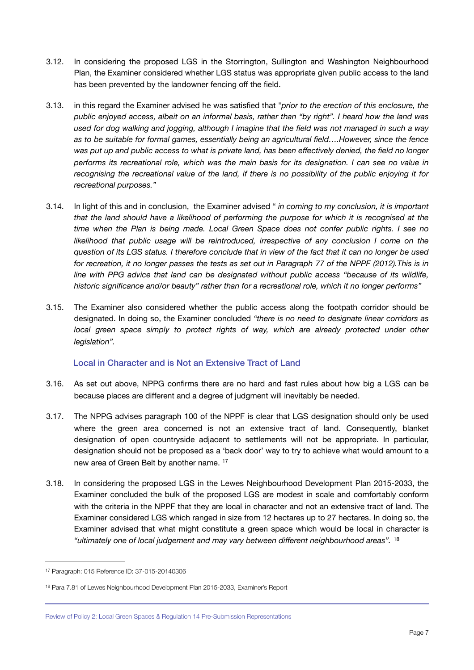- 3.12. In considering the proposed LGS in the Storrington, Sullington and Washington Neighbourhood Plan, the Examiner considered whether LGS status was appropriate given public access to the land has been prevented by the landowner fencing off the field.
- 3.13. in this regard the Examiner advised he was satisfied that "*prior to the erection of this enclosure, the public enjoyed access, albeit on an informal basis, rather than "by right". I heard how the land was used for dog walking and jogging, although I imagine that the field was not managed in such a way as to be suitable for formal games, essentially being an agricultural field….However, since the fence was put up and public access to what is private land, has been effectively denied, the field no longer performs its recreational role, which was the main basis for its designation. I can see no value in recognising the recreational value of the land, if there is no possibility of the public enjoying it for recreational purposes."*
- 3.14. In light of this and in conclusion, the Examiner advised " *in coming to my conclusion, it is important that the land should have a likelihood of performing the purpose for which it is recognised at the time when the Plan is being made. Local Green Space does not confer public rights. I see no*  likelihood that public usage will be reintroduced, irrespective of any conclusion I come on the *question of its LGS status. I therefore conclude that in view of the fact that it can no longer be used for recreation, it no longer passes the tests as set out in Paragraph 77 of the NPPF (2012).This is in line with PPG advice that land can be designated without public access "because of its wildlife, historic significance and/or beauty" rather than for a recreational role, which it no longer performs"*
- 3.15. The Examiner also considered whether the public access along the footpath corridor should be designated. In doing so, the Examiner concluded *"there is no need to designate linear corridors as local green space simply to protect rights of way, which are already protected under other legislation".*

#### Local in Character and is Not an Extensive Tract of Land

- 3.16. As set out above, NPPG confirms there are no hard and fast rules about how big a LGS can be because places are different and a degree of judgment will inevitably be needed.
- 3.17. The NPPG advises [paragraph 100](https://www.gov.uk/guidance/national-planning-policy-framework/8-promoting-healthy-and-safe-communities#para100) of the NPPF is clear that LGS designation should only be used where the green area concerned is not an extensive tract of land. Consequently, blanket designation of open countryside adjacent to settlements will not be appropriate. In particular, designation should not be proposed as a 'back door' way to try to achieve what would amount to a new area of Green Belt by another name. [17](#page-8-0)
- <span id="page-8-2"></span>3.18. In considering the proposed LGS in the Lewes Neighbourhood Development Plan 2015-2033, the Examiner concluded the bulk of the proposed LGS are modest in scale and comfortably conform with the criteria in the NPPF that they are local in character and not an extensive tract of land. The Examiner considered LGS which ranged in size from 12 hectares up to 27 hectares. In doing so, the Examiner advised that what might constitute a green space which would be local in character is *"ultimately one of local judgement and may vary between different neighbourhood areas".* [18](#page-8-1)

<span id="page-8-3"></span><span id="page-8-0"></span>[<sup>17</sup>](#page-8-2) Paragraph: 015 Reference ID: 37-015-20140306

<span id="page-8-1"></span><sup>&</sup>lt;sup>[18](#page-8-3)</sup> Para 7.81 of Lewes Neighbourhood Development Plan 2015-2033, Examiner's Report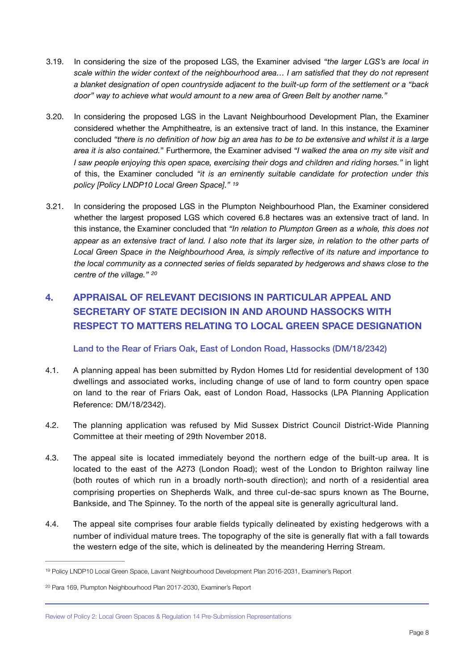- 3.19. In considering the size of the proposed LGS, the Examiner advised *"the larger LGS's are local in scale within the wider context of the neighbourhood area… I am satisfied that they do not represent a blanket designation of open countryside adjacent to the built-up form of the settlement or a "back door" way to achieve what would amount to a new area of Green Belt by another name."*
- 3.20. In considering the proposed LGS in the Lavant Neighbourhood Development Plan, the Examiner considered whether the Amphitheatre, is an extensive tract of land. In this instance, the Examiner concluded *"there is no definition of how big an area has to be to be extensive and whilst it is a large area it is also contained.*" Furthermore, the Examiner advised *"I walked the area on my site visit and I saw people enjoying this open space, exercising their dogs and children and riding horses."* in light of this, the Examiner concluded *"it is an eminently suitable candidate for protection under this policy [Policy LNDP10 Local Green Space]." [19](#page-9-1)*
- <span id="page-9-3"></span>3.21. In considering the proposed LGS in the Plumpton Neighbourhood Plan, the Examiner considered whether the largest proposed LGS which covered 6.8 hectares was an extensive tract of land. In this instance, the Examiner concluded that *"In relation to Plumpton Green as a whole, this does not appear as an extensive tract of land. I also note that its larger size, in relation to the other parts of Local Green Space in the Neighbourhood Area, is simply reflective of its nature and importance to the local community as a connected series of fields separated by hedgerows and shaws close to the centre of the village." [20](#page-9-2)*

## <span id="page-9-0"></span>**4. APPRAISAL OF RELEVANT DECISIONS IN PARTICULAR APPEAL AND SECRETARY OF STATE DECISION IN AND AROUND HASSOCKS WITH RESPECT TO MATTERS RELATING TO LOCAL GREEN SPACE DESIGNATION**

#### <span id="page-9-4"></span>Land to the Rear of Friars Oak, East of London Road, Hassocks (DM/18/2342)

- 4.1. A planning appeal has been submitted by Rydon Homes Ltd for residential development of 130 dwellings and associated works, including change of use of land to form country open space on land to the rear of Friars Oak, east of London Road, Hassocks (LPA Planning Application Reference: DM/18/2342).
- 4.2. The planning application was refused by Mid Sussex District Council District-Wide Planning Committee at their meeting of 29th November 2018.
- 4.3. The appeal site is located immediately beyond the northern edge of the built-up area. It is located to the east of the A273 (London Road); west of the London to Brighton railway line (both routes of which run in a broadly north-south direction); and north of a residential area comprising properties on Shepherds Walk, and three cul-de-sac spurs known as The Bourne, Bankside, and The Spinney. To the north of the appeal site is generally agricultural land.
- 4.4. The appeal site comprises four arable fields typically delineated by existing hedgerows with a number of individual mature trees. The topography of the site is generally flat with a fall towards the western edge of the site, which is delineated by the meandering Herring Stream.

<span id="page-9-1"></span>[<sup>19</sup>](#page-9-3) Policy LNDP10 Local Green Space, Lavant Neighbourhood Development Plan 2016-2031, Examiner's Report

<span id="page-9-2"></span><sup>&</sup>lt;sup>20</sup>Para 169, Plumpton Neighbourhood Plan [20](#page-9-4)17-2030, Examiner's Report

Review of Policy 2: Local Green Spaces & Regulation 14 Pre-Submission Representations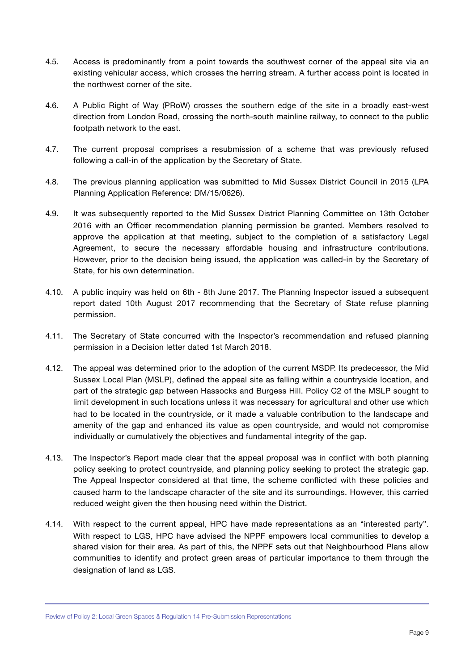- 4.5. Access is predominantly from a point towards the southwest corner of the appeal site via an existing vehicular access, which crosses the herring stream. A further access point is located in the northwest corner of the site.
- 4.6. A Public Right of Way (PRoW) crosses the southern edge of the site in a broadly east-west direction from London Road, crossing the north-south mainline railway, to connect to the public footpath network to the east.
- 4.7. The current proposal comprises a resubmission of a scheme that was previously refused following a call-in of the application by the Secretary of State.
- 4.8. The previous planning application was submitted to Mid Sussex District Council in 2015 (LPA Planning Application Reference: DM/15/0626).
- 4.9. It was subsequently reported to the Mid Sussex District Planning Committee on 13th October 2016 with an Officer recommendation planning permission be granted. Members resolved to approve the application at that meeting, subject to the completion of a satisfactory Legal Agreement, to secure the necessary affordable housing and infrastructure contributions. However, prior to the decision being issued, the application was called-in by the Secretary of State, for his own determination.
- 4.10. A public inquiry was held on 6th 8th June 2017. The Planning Inspector issued a subsequent report dated 10th August 2017 recommending that the Secretary of State refuse planning permission.
- 4.11. The Secretary of State concurred with the Inspector's recommendation and refused planning permission in a Decision letter dated 1st March 2018.
- 4.12. The appeal was determined prior to the adoption of the current MSDP. Its predecessor, the Mid Sussex Local Plan (MSLP), defined the appeal site as falling within a countryside location, and part of the strategic gap between Hassocks and Burgess Hill. Policy C2 of the MSLP sought to limit development in such locations unless it was necessary for agricultural and other use which had to be located in the countryside, or it made a valuable contribution to the landscape and amenity of the gap and enhanced its value as open countryside, and would not compromise individually or cumulatively the objectives and fundamental integrity of the gap.
- 4.13. The Inspector's Report made clear that the appeal proposal was in conflict with both planning policy seeking to protect countryside, and planning policy seeking to protect the strategic gap. The Appeal Inspector considered at that time, the scheme conflicted with these policies and caused harm to the landscape character of the site and its surroundings. However, this carried reduced weight given the then housing need within the District.
- 4.14. With respect to the current appeal, HPC have made representations as an "interested party". With respect to LGS, HPC have advised the NPPF empowers local communities to develop a shared vision for their area. As part of this, the NPPF sets out that Neighbourhood Plans allow communities to identify and protect green areas of particular importance to them through the designation of land as LGS.

Review of Policy 2: Local Green Spaces & Regulation 14 Pre-Submission Representations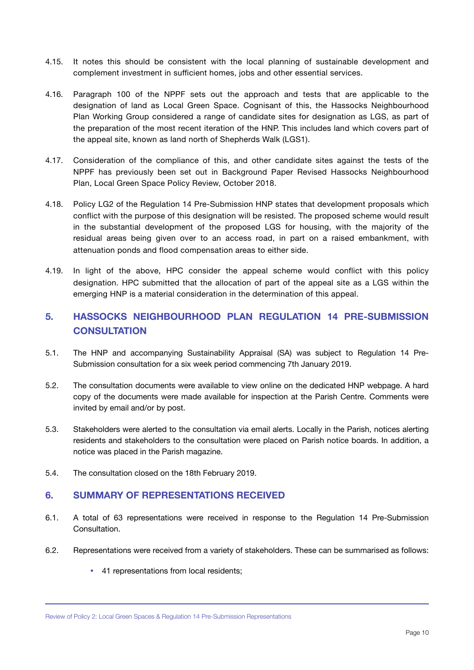- 4.15. It notes this should be consistent with the local planning of sustainable development and complement investment in sufficient homes, jobs and other essential services.
- 4.16. Paragraph 100 of the NPPF sets out the approach and tests that are applicable to the designation of land as Local Green Space. Cognisant of this, the Hassocks Neighbourhood Plan Working Group considered a range of candidate sites for designation as LGS, as part of the preparation of the most recent iteration of the HNP. This includes land which covers part of the appeal site, known as land north of Shepherds Walk (LGS1).
- 4.17. Consideration of the compliance of this, and other candidate sites against the tests of the NPPF has previously been set out in Background Paper Revised Hassocks Neighbourhood Plan, Local Green Space Policy Review, October 2018.
- 4.18. Policy LG2 of the Regulation 14 Pre-Submission HNP states that development proposals which conflict with the purpose of this designation will be resisted. The proposed scheme would result in the substantial development of the proposed LGS for housing, with the majority of the residual areas being given over to an access road, in part on a raised embankment, with attenuation ponds and flood compensation areas to either side.
- 4.19. In light of the above, HPC consider the appeal scheme would conflict with this policy designation. HPC submitted that the allocation of part of the appeal site as a LGS within the emerging HNP is a material consideration in the determination of this appeal.

### <span id="page-11-0"></span>**5. HASSOCKS NEIGHBOURHOOD PLAN REGULATION 14 PRE-SUBMISSION CONSULTATION**

- 5.1. The HNP and accompanying Sustainability Appraisal (SA) was subject to Regulation 14 Pre-Submission consultation for a six week period commencing 7th January 2019.
- 5.2. The consultation documents were available to view online on the dedicated HNP webpage. A hard copy of the documents were made available for inspection at the Parish Centre. Comments were invited by email and/or by post.
- 5.3. Stakeholders were alerted to the consultation via email alerts. Locally in the Parish, notices alerting residents and stakeholders to the consultation were placed on Parish notice boards. In addition, a notice was placed in the Parish magazine.
- 5.4. The consultation closed on the 18th February 2019.

#### <span id="page-11-1"></span>**6. SUMMARY OF REPRESENTATIONS RECEIVED**

- 6.1. A total of 63 representations were received in response to the Regulation 14 Pre-Submission **Consultation**
- 6.2. Representations were received from a variety of stakeholders. These can be summarised as follows:
	- 41 representations from local residents;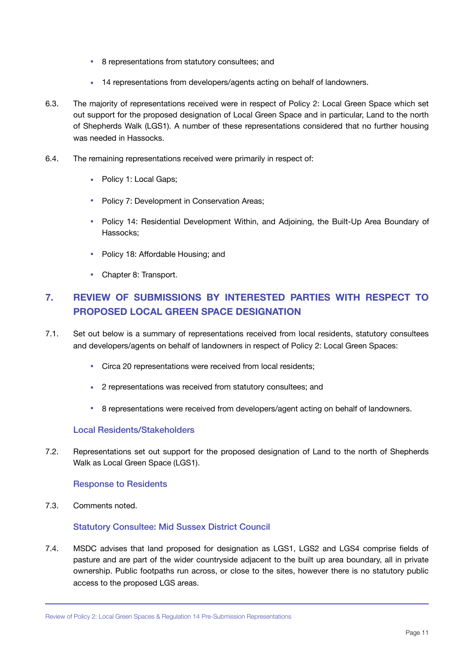- 8 representations from statutory consultees; and
- 14 representations from developers/agents acting on behalf of landowners.
- 6.3. The majority of representations received were in respect of Policy 2: Local Green Space which set out support for the proposed designation of Local Green Space and in particular, Land to the north of Shepherds Walk (LGS1). A number of these representations considered that no further housing was needed in Hassocks.
- 6.4. The remaining representations received were primarily in respect of:
	- Policy 1: Local Gaps:
	- Policy 7: Development in Conservation Areas;
	- Policy 14: Residential Development Within, and Adjoining, the Built-Up Area Boundary of Hassocks;
	- Policy 18: Affordable Housing; and
	- Chapter 8: Transport.

### <span id="page-12-0"></span>**7. REVIEW OF SUBMISSIONS BY INTERESTED PARTIES WITH RESPECT TO PROPOSED LOCAL GREEN SPACE DESIGNATION**

- 7.1. Set out below is a summary of representations received from local residents, statutory consultees and developers/agents on behalf of landowners in respect of Policy 2: Local Green Spaces:
	- Circa 20 representations were received from local residents;
	- 2 representations was received from statutory consultees; and
	- 8 representations were received from developers/agent acting on behalf of landowners.

#### Local Residents/Stakeholders

7.2. Representations set out support for the proposed designation of Land to the north of Shepherds Walk as Local Green Space (LGS1).

#### Response to Residents

7.3. Comments noted.

#### Statutory Consultee: Mid Sussex District Council

7.4. MSDC advises that land proposed for designation as LGS1, LGS2 and LGS4 comprise fields of pasture and are part of the wider countryside adjacent to the built up area boundary, all in private ownership. Public footpaths run across, or close to the sites, however there is no statutory public access to the proposed LGS areas.

Review of Policy 2: Local Green Spaces & Regulation 14 Pre-Submission Representations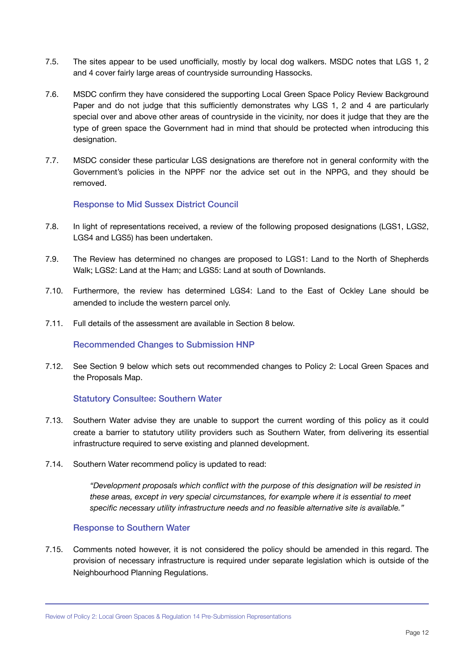- 7.5. The sites appear to be used unofficially, mostly by local dog walkers. MSDC notes that LGS 1, 2 and 4 cover fairly large areas of countryside surrounding Hassocks.
- 7.6. MSDC confirm they have considered the supporting Local Green Space Policy Review Background Paper and do not judge that this sufficiently demonstrates why LGS 1, 2 and 4 are particularly special over and above other areas of countryside in the vicinity, nor does it judge that they are the type of green space the Government had in mind that should be protected when introducing this designation.
- 7.7. MSDC consider these particular LGS designations are therefore not in general conformity with the Government's policies in the NPPF nor the advice set out in the NPPG, and they should be removed.

#### Response to Mid Sussex District Council

- 7.8. In light of representations received, a review of the following proposed designations (LGS1, LGS2, LGS4 and LGS5) has been undertaken.
- 7.9. The Review has determined no changes are proposed to LGS1: Land to the North of Shepherds Walk; LGS2: Land at the Ham; and LGS5: Land at south of Downlands.
- 7.10. Furthermore, the review has determined LGS4: Land to the East of Ockley Lane should be amended to include the western parcel only.
- 7.11. Full details of the assessment are available in Section 8 below.

#### Recommended Changes to Submission HNP

7.12. See Section 9 below which sets out recommended changes to Policy 2: Local Green Spaces and the Proposals Map.

#### Statutory Consultee: Southern Water

- 7.13. Southern Water advise they are unable to support the current wording of this policy as it could create a barrier to statutory utility providers such as Southern Water, from delivering its essential infrastructure required to serve existing and planned development.
- 7.14. Southern Water recommend policy is updated to read:

*"Development proposals which conflict with the purpose of this designation will be resisted in these areas, except in very special circumstances, for example where it is essential to meet specific necessary utility infrastructure needs and no feasible alternative site is available."* 

#### Response to Southern Water

7.15. Comments noted however, it is not considered the policy should be amended in this regard. The provision of necessary infrastructure is required under separate legislation which is outside of the Neighbourhood Planning Regulations.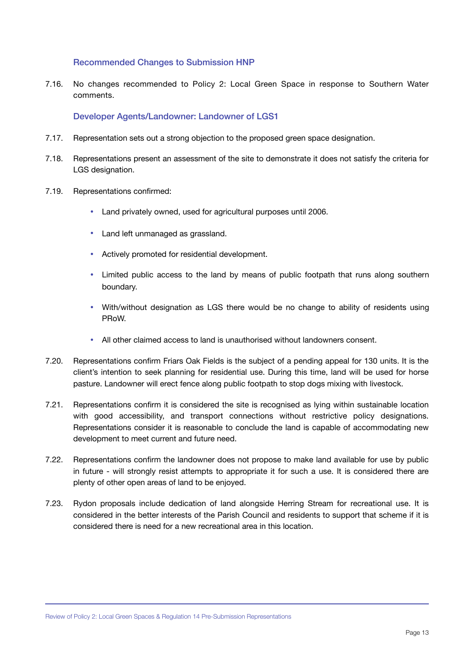#### Recommended Changes to Submission HNP

7.16. No changes recommended to Policy 2: Local Green Space in response to Southern Water comments.

#### Developer Agents/Landowner: Landowner of LGS1

- 7.17. Representation sets out a strong objection to the proposed green space designation.
- 7.18. Representations present an assessment of the site to demonstrate it does not satisfy the criteria for LGS designation.
- 7.19. Representations confirmed:
	- Land privately owned, used for agricultural purposes until 2006.
	- Land left unmanaged as grassland.
	- Actively promoted for residential development.
	- Limited public access to the land by means of public footpath that runs along southern boundary.
	- With/without designation as LGS there would be no change to ability of residents using PRoW.
	- All other claimed access to land is unauthorised without landowners consent.
- 7.20. Representations confirm Friars Oak Fields is the subject of a pending appeal for 130 units. It is the client's intention to seek planning for residential use. During this time, land will be used for horse pasture. Landowner will erect fence along public footpath to stop dogs mixing with livestock.
- 7.21. Representations confirm it is considered the site is recognised as lying within sustainable location with good accessibility, and transport connections without restrictive policy designations. Representations consider it is reasonable to conclude the land is capable of accommodating new development to meet current and future need.
- 7.22. Representations confirm the landowner does not propose to make land available for use by public in future - will strongly resist attempts to appropriate it for such a use. It is considered there are plenty of other open areas of land to be enjoyed.
- 7.23. Rydon proposals include dedication of land alongside Herring Stream for recreational use. It is considered in the better interests of the Parish Council and residents to support that scheme if it is considered there is need for a new recreational area in this location.

Review of Policy 2: Local Green Spaces & Regulation 14 Pre-Submission Representations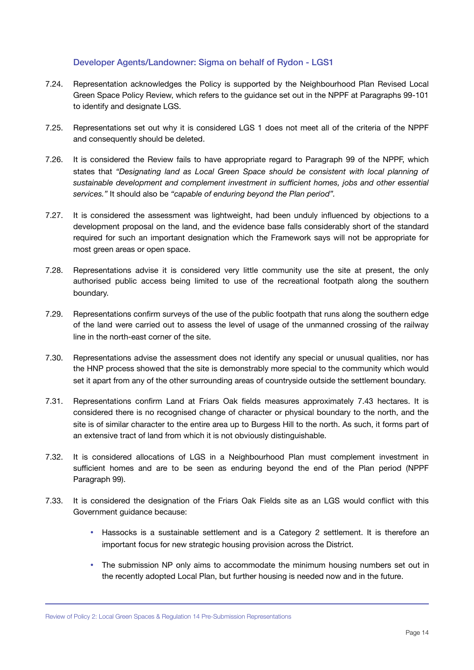#### Developer Agents/Landowner: Sigma on behalf of Rydon - LGS1

- 7.24. Representation acknowledges the Policy is supported by the Neighbourhood Plan Revised Local Green Space Policy Review, which refers to the guidance set out in the NPPF at Paragraphs 99-101 to identify and designate LGS.
- 7.25. Representations set out why it is considered LGS 1 does not meet all of the criteria of the NPPF and consequently should be deleted.
- 7.26. It is considered the Review fails to have appropriate regard to Paragraph 99 of the NPPF, which states that *"Designating land as Local Green Space should be consistent with local planning of sustainable development and complement investment in sufficient homes, jobs and other essential services."* It should also be *"capable of enduring beyond the Plan period".*
- 7.27. It is considered the assessment was lightweight, had been unduly influenced by objections to a development proposal on the land, and the evidence base falls considerably short of the standard required for such an important designation which the Framework says will not be appropriate for most green areas or open space.
- 7.28. Representations advise it is considered very little community use the site at present, the only authorised public access being limited to use of the recreational footpath along the southern boundary.
- 7.29. Representations confirm surveys of the use of the public footpath that runs along the southern edge of the land were carried out to assess the level of usage of the unmanned crossing of the railway line in the north-east corner of the site.
- 7.30. Representations advise the assessment does not identify any special or unusual qualities, nor has the HNP process showed that the site is demonstrably more special to the community which would set it apart from any of the other surrounding areas of countryside outside the settlement boundary.
- 7.31. Representations confirm Land at Friars Oak fields measures approximately 7.43 hectares. It is considered there is no recognised change of character or physical boundary to the north, and the site is of similar character to the entire area up to Burgess Hill to the north. As such, it forms part of an extensive tract of land from which it is not obviously distinguishable.
- 7.32. It is considered allocations of LGS in a Neighbourhood Plan must complement investment in sufficient homes and are to be seen as enduring beyond the end of the Plan period (NPPF Paragraph 99).
- 7.33. It is considered the designation of the Friars Oak Fields site as an LGS would conflict with this Government guidance because:
	- Hassocks is a sustainable settlement and is a Category 2 settlement. It is therefore an important focus for new strategic housing provision across the District.
	- The submission NP only aims to accommodate the minimum housing numbers set out in the recently adopted Local Plan, but further housing is needed now and in the future.

Review of Policy 2: Local Green Spaces & Regulation 14 Pre-Submission Representations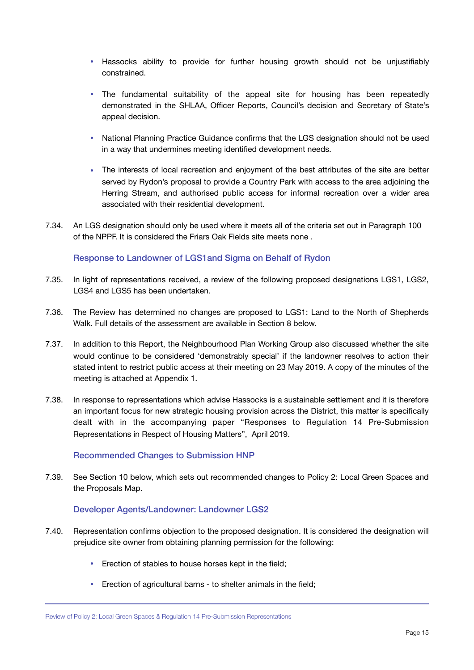- Hassocks ability to provide for further housing growth should not be unjustifiably constrained.
- The fundamental suitability of the appeal site for housing has been repeatedly demonstrated in the SHLAA, Officer Reports, Council's decision and Secretary of State's appeal decision.
- National Planning Practice Guidance confirms that the LGS designation should not be used in a way that undermines meeting identified development needs.
- The interests of local recreation and enjoyment of the best attributes of the site are better served by Rydon's proposal to provide a Country Park with access to the area adjoining the Herring Stream, and authorised public access for informal recreation over a wider area associated with their residential development.
- 7.34. An LGS designation should only be used where it meets all of the criteria set out in Paragraph 100 of the NPPF. It is considered the Friars Oak Fields site meets none .

#### Response to Landowner of LGS1and Sigma on Behalf of Rydon

- 7.35. In light of representations received, a review of the following proposed designations LGS1, LGS2, LGS4 and LGS5 has been undertaken.
- 7.36. The Review has determined no changes are proposed to LGS1: Land to the North of Shepherds Walk. Full details of the assessment are available in Section 8 below.
- 7.37. In addition to this Report, the Neighbourhood Plan Working Group also discussed whether the site would continue to be considered 'demonstrably special' if the landowner resolves to action their stated intent to restrict public access at their meeting on 23 May 2019. A copy of the minutes of the meeting is attached at Appendix 1.
- 7.38. In response to representations which advise Hassocks is a sustainable settlement and it is therefore an important focus for new strategic housing provision across the District, this matter is specifically dealt with in the accompanying paper "Responses to Regulation 14 Pre-Submission Representations in Respect of Housing Matters", April 2019.

#### Recommended Changes to Submission HNP

7.39. See Section 10 below, which sets out recommended changes to Policy 2: Local Green Spaces and the Proposals Map.

#### Developer Agents/Landowner: Landowner LGS2

- 7.40. Representation confirms objection to the proposed designation. It is considered the designation will prejudice site owner from obtaining planning permission for the following:
	- Erection of stables to house horses kept in the field;
	- Erection of agricultural barns to shelter animals in the field;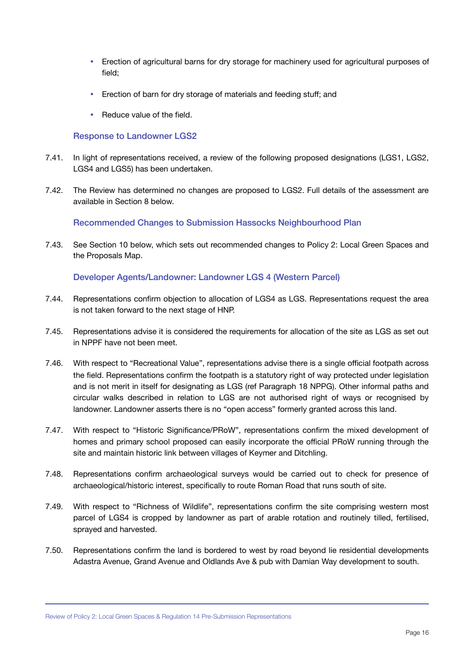- Erection of agricultural barns for dry storage for machinery used for agricultural purposes of field;
- Erection of barn for dry storage of materials and feeding stuff; and
- Reduce value of the field.

#### Response to Landowner LGS2

- 7.41. In light of representations received, a review of the following proposed designations (LGS1, LGS2, LGS4 and LGS5) has been undertaken.
- 7.42. The Review has determined no changes are proposed to LGS2. Full details of the assessment are available in Section 8 below.

Recommended Changes to Submission Hassocks Neighbourhood Plan

7.43. See Section 10 below, which sets out recommended changes to Policy 2: Local Green Spaces and the Proposals Map.

Developer Agents/Landowner: Landowner LGS 4 (Western Parcel)

- 7.44. Representations confirm objection to allocation of LGS4 as LGS. Representations request the area is not taken forward to the next stage of HNP.
- 7.45. Representations advise it is considered the requirements for allocation of the site as LGS as set out in NPPF have not been meet.
- 7.46. With respect to "Recreational Value", representations advise there is a single official footpath across the field. Representations confirm the footpath is a statutory right of way protected under legislation and is not merit in itself for designating as LGS (ref Paragraph 18 NPPG). Other informal paths and circular walks described in relation to LGS are not authorised right of ways or recognised by landowner. Landowner asserts there is no "open access" formerly granted across this land.
- 7.47. With respect to "Historic Significance/PRoW", representations confirm the mixed development of homes and primary school proposed can easily incorporate the official PRoW running through the site and maintain historic link between villages of Keymer and Ditchling.
- 7.48. Representations confirm archaeological surveys would be carried out to check for presence of archaeological/historic interest, specifically to route Roman Road that runs south of site.
- 7.49. With respect to "Richness of Wildlife", representations confirm the site comprising western most parcel of LGS4 is cropped by landowner as part of arable rotation and routinely tilled, fertilised, sprayed and harvested.
- 7.50. Representations confirm the land is bordered to west by road beyond lie residential developments Adastra Avenue, Grand Avenue and Oldlands Ave & pub with Damian Way development to south.

Review of Policy 2: Local Green Spaces & Regulation 14 Pre-Submission Representations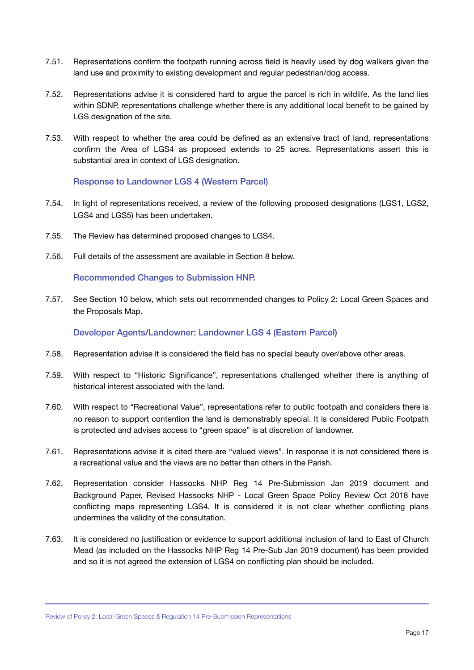- 7.51. Representations confirm the footpath running across field is heavily used by dog walkers given the land use and proximity to existing development and regular pedestrian/dog access.
- 7.52. Representations advise it is considered hard to argue the parcel is rich in wildlife. As the land lies within SDNP, representations challenge whether there is any additional local benefit to be gained by LGS designation of the site.
- 7.53. With respect to whether the area could be defined as an extensive tract of land, representations confirm the Area of LGS4 as proposed extends to 25 acres. Representations assert this is substantial area in context of LGS designation.

#### Response to Landowner LGS 4 (Western Parcel)

- 7.54. In light of representations received, a review of the following proposed designations (LGS1, LGS2, LGS4 and LGS5) has been undertaken.
- 7.55. The Review has determined proposed changes to LGS4.
- 7.56. Full details of the assessment are available in Section 8 below.

#### Recommended Changes to Submission HNP.

7.57. See Section 10 below, which sets out recommended changes to Policy 2: Local Green Spaces and the Proposals Map.

#### Developer Agents/Landowner: Landowner LGS 4 (Eastern Parcel)

- 7.58. Representation advise it is considered the field has no special beauty over/above other areas.
- 7.59. With respect to "Historic Significance", representations challenged whether there is anything of historical interest associated with the land.
- 7.60. With respect to "Recreational Value", representations refer to public footpath and considers there is no reason to support contention the land is demonstrably special. It is considered Public Footpath is protected and advises access to "green space" is at discretion of landowner.
- 7.61. Representations advise it is cited there are "valued views". In response it is not considered there is a recreational value and the views are no better than others in the Parish.
- 7.62. Representation consider Hassocks NHP Reg 14 Pre-Submission Jan 2019 document and Background Paper, Revised Hassocks NHP - Local Green Space Policy Review Oct 2018 have conflicting maps representing LGS4. It is considered it is not clear whether conflicting plans undermines the validity of the consultation.
- 7.63. It is considered no justification or evidence to support additional inclusion of land to East of Church Mead (as included on the Hassocks NHP Reg 14 Pre-Sub Jan 2019 document) has been provided and so it is not agreed the extension of LGS4 on conflicting plan should be included.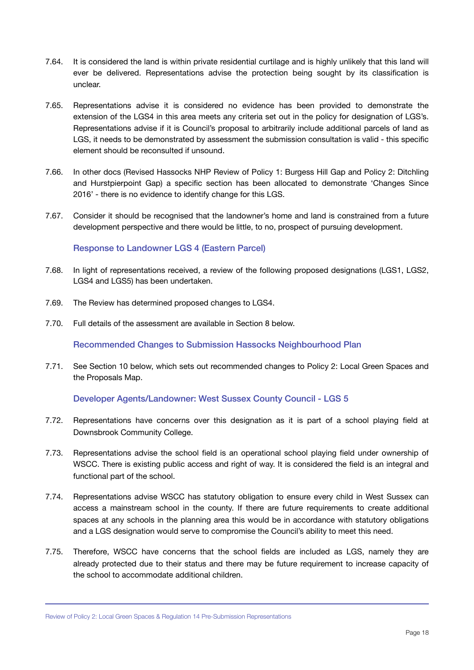- 7.64. It is considered the land is within private residential curtilage and is highly unlikely that this land will ever be delivered. Representations advise the protection being sought by its classification is unclear.
- 7.65. Representations advise it is considered no evidence has been provided to demonstrate the extension of the LGS4 in this area meets any criteria set out in the policy for designation of LGS's. Representations advise if it is Council's proposal to arbitrarily include additional parcels of land as LGS, it needs to be demonstrated by assessment the submission consultation is valid - this specific element should be reconsulted if unsound.
- 7.66. In other docs (Revised Hassocks NHP Review of Policy 1: Burgess Hill Gap and Policy 2: Ditchling and Hurstpierpoint Gap) a specific section has been allocated to demonstrate 'Changes Since 2016' - there is no evidence to identify change for this LGS.
- 7.67. Consider it should be recognised that the landowner's home and land is constrained from a future development perspective and there would be little, to no, prospect of pursuing development.

#### Response to Landowner LGS 4 (Eastern Parcel)

- 7.68. In light of representations received, a review of the following proposed designations (LGS1, LGS2, LGS4 and LGS5) has been undertaken.
- 7.69. The Review has determined proposed changes to LGS4.
- 7.70. Full details of the assessment are available in Section 8 below.

Recommended Changes to Submission Hassocks Neighbourhood Plan

7.71. See Section 10 below, which sets out recommended changes to Policy 2: Local Green Spaces and the Proposals Map.

Developer Agents/Landowner: West Sussex County Council - LGS 5

- 7.72. Representations have concerns over this designation as it is part of a school playing field at Downsbrook Community College.
- 7.73. Representations advise the school field is an operational school playing field under ownership of WSCC. There is existing public access and right of way. It is considered the field is an integral and functional part of the school.
- 7.74. Representations advise WSCC has statutory obligation to ensure every child in West Sussex can access a mainstream school in the county. If there are future requirements to create additional spaces at any schools in the planning area this would be in accordance with statutory obligations and a LGS designation would serve to compromise the Council's ability to meet this need.
- 7.75. Therefore, WSCC have concerns that the school fields are included as LGS, namely they are already protected due to their status and there may be future requirement to increase capacity of the school to accommodate additional children.

Review of Policy 2: Local Green Spaces & Regulation 14 Pre-Submission Representations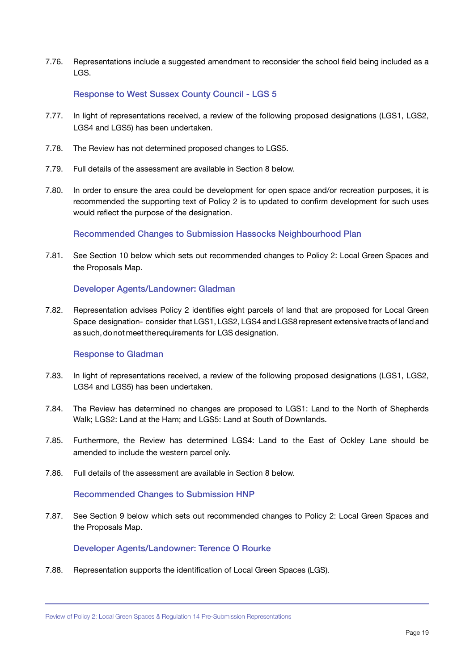7.76. Representations include a suggested amendment to reconsider the school field being included as a LGS.

#### Response to West Sussex County Council - LGS 5

- 7.77. In light of representations received, a review of the following proposed designations (LGS1, LGS2, LGS4 and LGS5) has been undertaken.
- 7.78. The Review has not determined proposed changes to LGS5.
- 7.79. Full details of the assessment are available in Section 8 below.
- 7.80. In order to ensure the area could be development for open space and/or recreation purposes, it is recommended the supporting text of Policy 2 is to updated to confirm development for such uses would reflect the purpose of the designation.

Recommended Changes to Submission Hassocks Neighbourhood Plan

7.81. See Section 10 below which sets out recommended changes to Policy 2: Local Green Spaces and the Proposals Map.

#### Developer Agents/Landowner: Gladman

7.82. Representation advises Policy 2 identifies eight parcels of land that are proposed for Local Green Space designation- consider that LGS1, LGS2, LGS4 and LGS8 represent extensive tracts of land and as such, do not meet the requirements for LGS designation.

#### Response to Gladman

- 7.83. In light of representations received, a review of the following proposed designations (LGS1, LGS2, LGS4 and LGS5) has been undertaken.
- 7.84. The Review has determined no changes are proposed to LGS1: Land to the North of Shepherds Walk; LGS2: Land at the Ham; and LGS5: Land at South of Downlands.
- 7.85. Furthermore, the Review has determined LGS4: Land to the East of Ockley Lane should be amended to include the western parcel only.
- 7.86. Full details of the assessment are available in Section 8 below.

#### Recommended Changes to Submission HNP

7.87. See Section 9 below which sets out recommended changes to Policy 2: Local Green Spaces and the Proposals Map.

#### Developer Agents/Landowner: Terence O Rourke

7.88. Representation supports the identification of Local Green Spaces (LGS).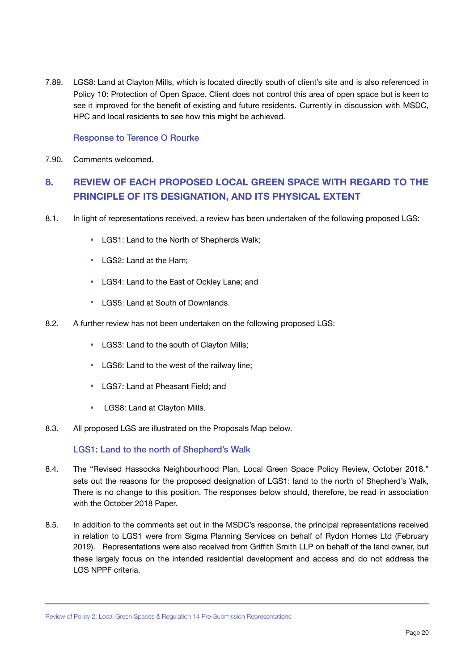7.89. LGS8: Land at Clayton Mills, which is located directly south of client's site and is also referenced in Policy 10: Protection of Open Space. Client does not control this area of open space but is keen to see it improved for the benefit of existing and future residents. Currently in discussion with MSDC, HPC and local residents to see how this might be achieved.

#### Response to Terence O Rourke

7.90. Comments welcomed.

### <span id="page-21-0"></span>**8. REVIEW OF EACH PROPOSED LOCAL GREEN SPACE WITH REGARD TO THE PRINCIPLE OF ITS DESIGNATION, AND ITS PHYSICAL EXTENT**

- 8.1. In light of representations received, a review has been undertaken of the following proposed LGS:
	- LGS1: Land to the North of Shepherds Walk;
	- LGS2: Land at the Ham;
	- LGS4: Land to the East of Ockley Lane; and
	- LGS5: Land at South of Downlands.
- 8.2. A further review has not been undertaken on the following proposed LGS:
	- LGS3: Land to the south of Clayton Mills;
	- LGS6: Land to the west of the railway line;
	- LGS7: Land at Pheasant Field; and
	- LGS8: Land at Clayton Mills.
- 8.3. All proposed LGS are illustrated on the Proposals Map below.

LGS1: Land to the north of Shepherd's Walk

- 8.4. The "Revised Hassocks Neighbourhood Plan, Local Green Space Policy Review, October 2018." sets out the reasons for the proposed designation of LGS1: land to the north of Shepherd's Walk, There is no change to this position. The responses below should, therefore, be read in association with the October 2018 Paper.
- 8.5. In addition to the comments set out in the MSDC's response, the principal representations received in relation to LGS1 were from Sigma Planning Services on behalf of Rydon Homes Ltd (February 2019). Representations were also received from Griffith Smith LLP on behalf of the land owner, but these largely focus on the intended residential development and access and do not address the LGS NPPF criteria.

Review of Policy 2: Local Green Spaces & Regulation 14 Pre-Submission Representations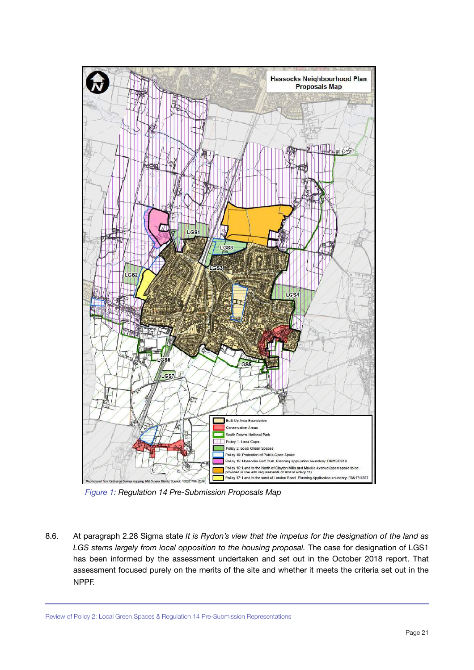

*Figure 1: Regulation 14 Pre-Submission Proposals Map*

8.6. At paragraph 2.28 Sigma state *It is Rydon's view that the impetus for the designation of the land as LGS stems largely from local opposition to the housing proposal.* The case for designation of LGS1 has been informed by the assessment undertaken and set out in the October 2018 report. That assessment focused purely on the merits of the site and whether it meets the criteria set out in the NPPF.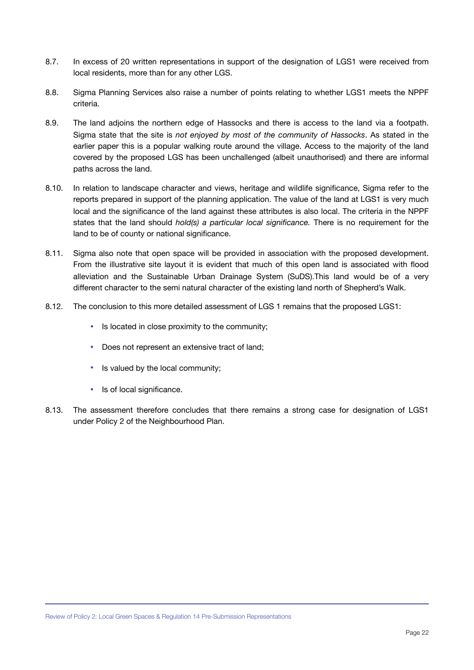- 8.7. In excess of 20 written representations in support of the designation of LGS1 were received from local residents, more than for any other LGS.
- 8.8. Sigma Planning Services also raise a number of points relating to whether LGS1 meets the NPPF criteria.
- 8.9. The land adjoins the northern edge of Hassocks and there is access to the land via a footpath. Sigma state that the site is *not enjoyed by most of the community of Hassocks*. As stated in the earlier paper this is a popular walking route around the village. Access to the majority of the land covered by the proposed LGS has been unchallenged (albeit unauthorised) and there are informal paths across the land.
- 8.10. In relation to landscape character and views, heritage and wildlife significance, Sigma refer to the reports prepared in support of the planning application. The value of the land at LGS1 is very much local and the significance of the land against these attributes is also local. The criteria in the NPPF states that the land should *hold(s) a particular local significance.* There is no requirement for the land to be of county or national significance.
- 8.11. Sigma also note that open space will be provided in association with the proposed development. From the illustrative site layout it is evident that much of this open land is associated with flood alleviation and the Sustainable Urban Drainage System (SuDS).This land would be of a very different character to the semi natural character of the existing land north of Shepherd's Walk.
- 8.12. The conclusion to this more detailed assessment of LGS 1 remains that the proposed LGS1:
	- Is located in close proximity to the community;
	- Does not represent an extensive tract of land;
	- Is valued by the local community;
	- Is of local significance.
- 8.13. The assessment therefore concludes that there remains a strong case for designation of LGS1 under Policy 2 of the Neighbourhood Plan.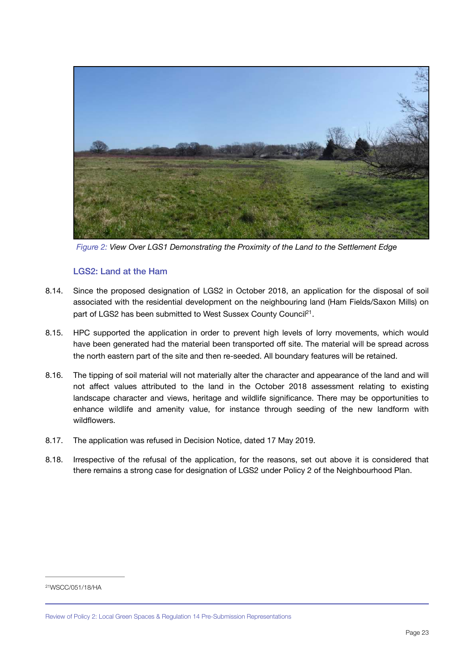

*Figure 2: View Over LGS1 Demonstrating the Proximity of the Land to the Settlement Edge*

#### <span id="page-24-1"></span>LGS2: Land at the Ham

- 8.14. Since the proposed designation of LGS2 in October 2018, an application for the disposal of soil associated with the residential development on the neighbouring land (Ham Fields/Saxon Mills) on part of LGS2 has been submitted to West Sussex County Council<sup>21</sup>[.](#page-24-0)
- 8.15. HPC supported the application in order to prevent high levels of lorry movements, which would have been generated had the material been transported off site. The material will be spread across the north eastern part of the site and then re-seeded. All boundary features will be retained.
- 8.16. The tipping of soil material will not materially alter the character and appearance of the land and will not affect values attributed to the land in the October 2018 assessment relating to existing landscape character and views, heritage and wildlife significance. There may be opportunities to enhance wildlife and amenity value, for instance through seeding of the new landform with wildflowers.
- 8.17. The application was refused in Decision Notice, dated 17 May 2019.
- 8.18. Irrespective of the refusal of the application, for the reasons, set out above it is considered that there remains a strong case for designation of LGS2 under Policy 2 of the Neighbourhood Plan.

<span id="page-24-0"></span>[<sup>21</sup>W](#page-24-1)SCC/051/18/HA

Review of Policy 2: Local Green Spaces & Regulation 14 Pre-Submission Representations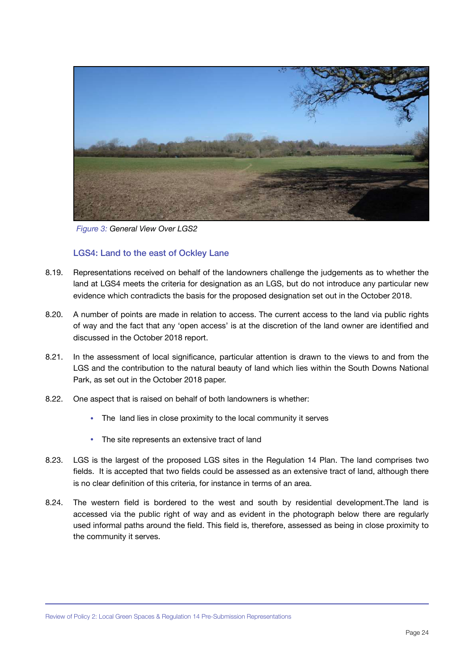

*Figure 3: General View Over LGS2*

#### LGS4: Land to the east of Ockley Lane

- 8.19. Representations received on behalf of the landowners challenge the judgements as to whether the land at LGS4 meets the criteria for designation as an LGS, but do not introduce any particular new evidence which contradicts the basis for the proposed designation set out in the October 2018.
- 8.20. A number of points are made in relation to access. The current access to the land via public rights of way and the fact that any 'open access' is at the discretion of the land owner are identified and discussed in the October 2018 report.
- 8.21. In the assessment of local significance, particular attention is drawn to the views to and from the LGS and the contribution to the natural beauty of land which lies within the South Downs National Park, as set out in the October 2018 paper.
- 8.22. One aspect that is raised on behalf of both landowners is whether:
	- The land lies in close proximity to the local community it serves
	- The site represents an extensive tract of land
- 8.23. LGS is the largest of the proposed LGS sites in the Regulation 14 Plan. The land comprises two fields. It is accepted that two fields could be assessed as an extensive tract of land, although there is no clear definition of this criteria, for instance in terms of an area.
- 8.24. The western field is bordered to the west and south by residential development.The land is accessed via the public right of way and as evident in the photograph below there are regularly used informal paths around the field. This field is, therefore, assessed as being in close proximity to the community it serves.

Review of Policy 2: Local Green Spaces & Regulation 14 Pre-Submission Representations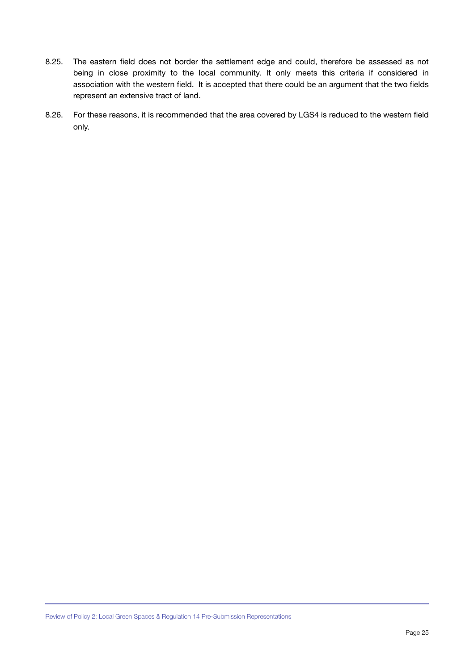- 8.25. The eastern field does not border the settlement edge and could, therefore be assessed as not being in close proximity to the local community. It only meets this criteria if considered in association with the western field. It is accepted that there could be an argument that the two fields represent an extensive tract of land.
- 8.26. For these reasons, it is recommended that the area covered by LGS4 is reduced to the western field only.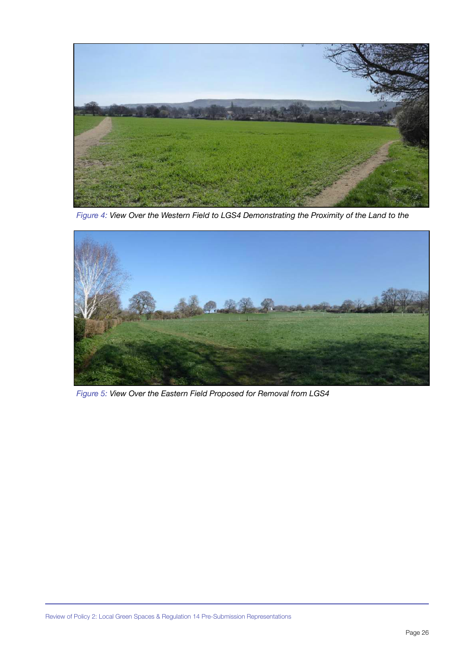

*Figure 4: View Over the Western Field to LGS4 Demonstrating the Proximity of the Land to the* 



*Figure 5: View Over the Eastern Field Proposed for Removal from LGS4*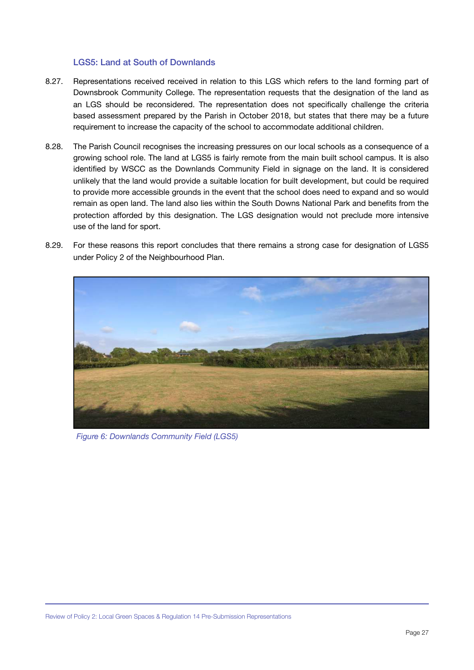#### LGS5: Land at South of Downlands

- 8.27. Representations received received in relation to this LGS which refers to the land forming part of Downsbrook Community College. The representation requests that the designation of the land as an LGS should be reconsidered. The representation does not specifically challenge the criteria based assessment prepared by the Parish in October 2018, but states that there may be a future requirement to increase the capacity of the school to accommodate additional children.
- 8.28. The Parish Council recognises the increasing pressures on our local schools as a consequence of a growing school role. The land at LGS5 is fairly remote from the main built school campus. It is also identified by WSCC as the Downlands Community Field in signage on the land. It is considered unlikely that the land would provide a suitable location for built development, but could be required to provide more accessible grounds in the event that the school does need to expand and so would remain as open land. The land also lies within the South Downs National Park and benefits from the protection afforded by this designation. The LGS designation would not preclude more intensive use of the land for sport.
- 8.29. For these reasons this report concludes that there remains a strong case for designation of LGS5 under Policy 2 of the Neighbourhood Plan.



*Figure 6: Downlands Community Field (LGS5)*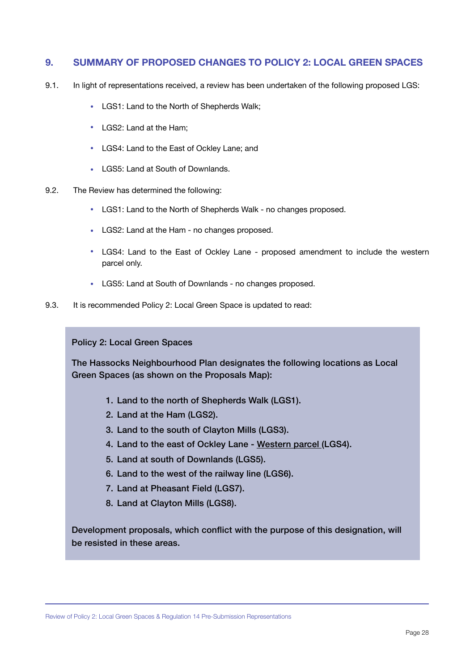#### <span id="page-29-0"></span>**9. SUMMARY OF PROPOSED CHANGES TO POLICY 2: LOCAL GREEN SPACES**

- 9.1. In light of representations received, a review has been undertaken of the following proposed LGS:
	- LGS1: Land to the North of Shepherds Walk;
	- LGS2: Land at the Ham;
	- LGS4: Land to the East of Ockley Lane; and
	- LGS5: Land at South of Downlands.
- 9.2. The Review has determined the following:
	- LGS1: Land to the North of Shepherds Walk no changes proposed.
	- LGS2: Land at the Ham no changes proposed.
	- LGS4: Land to the East of Ockley Lane proposed amendment to include the western parcel only.
	- LGS5: Land at South of Downlands no changes proposed.
- 9.3. It is recommended Policy 2: Local Green Space is updated to read:

Policy 2: Local Green Spaces

The Hassocks Neighbourhood Plan designates the following locations as Local Green Spaces (as shown on the Proposals Map):

- 1. Land to the north of Shepherds Walk (LGS1).
- 2. Land at the Ham (LGS2).
- 3. Land to the south of Clayton Mills (LGS3).
- 4. Land to the east of Ockley Lane Western parcel (LGS4).
- 5. Land at south of Downlands (LGS5).
- 6. Land to the west of the railway line (LGS6).
- 7. Land at Pheasant Field (LGS7).
- 8. Land at Clayton Mills (LGS8).

Development proposals, which conflict with the purpose of this designation, will be resisted in these areas.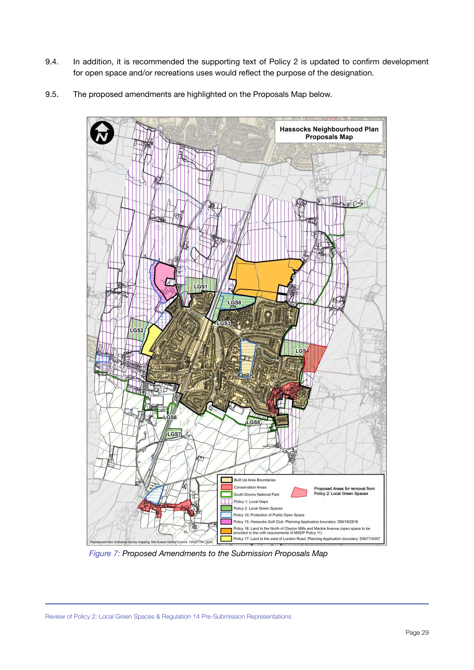- 9.4. In addition, it is recommended the supporting text of Policy 2 is updated to confirm development for open space and/or recreations uses would reflect the purpose of the designation.
- 9.5. The proposed amendments are highlighted on the Proposals Map below.



*Figure 7: Proposed Amendments to the Submission Proposals Map*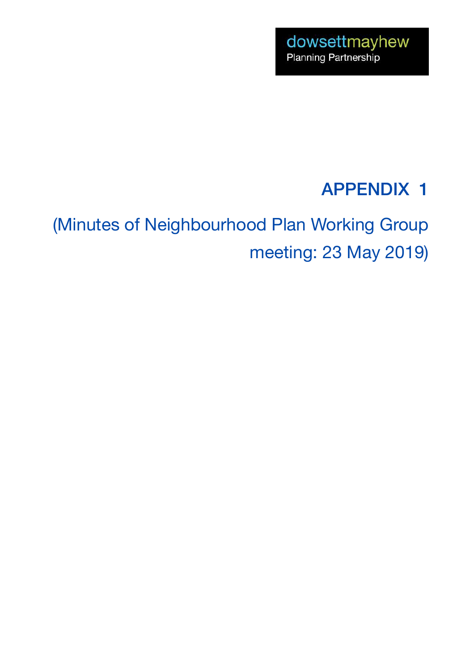## APPENDIX 1

(Minutes of Neighbourhood Plan Working Group meeting: 23 May 2019)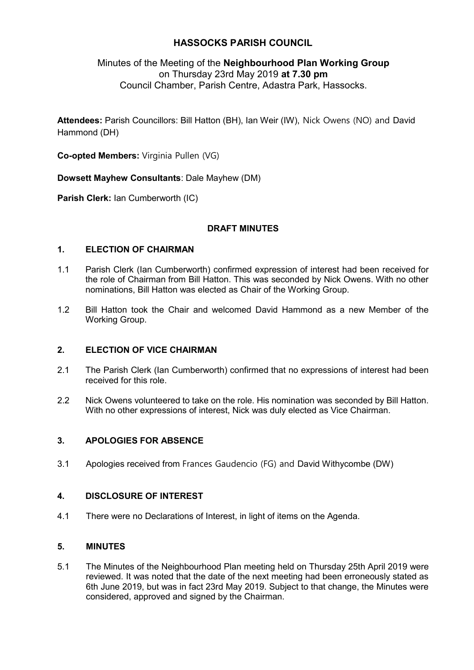### **HASSOCKS PARISH COUNCIL**

### Minutes of the Meeting of the **Neighbourhood Plan Working Group**  on Thursday 23rd May 2019 **at 7.30 pm**  Council Chamber, Parish Centre, Adastra Park, Hassocks.

**Attendees:** Parish Councillors: Bill Hatton (BH), Ian Weir (IW), Nick Owens (NO) and David Hammond (DH)

**Co-opted Members:** Virginia Pullen (VG)

**Dowsett Mayhew Consultants**: Dale Mayhew (DM)

**Parish Clerk:** Ian Cumberworth (IC)

#### **DRAFT MINUTES**

#### **1. ELECTION OF CHAIRMAN**

- 1.1 Parish Clerk (Ian Cumberworth) confirmed expression of interest had been received for the role of Chairman from Bill Hatton. This was seconded by Nick Owens. With no other nominations, Bill Hatton was elected as Chair of the Working Group.
- 1.2 Bill Hatton took the Chair and welcomed David Hammond as a new Member of the Working Group.

#### **2. ELECTION OF VICE CHAIRMAN**

- 2.1 The Parish Clerk (Ian Cumberworth) confirmed that no expressions of interest had been received for this role.
- 2.2 Nick Owens volunteered to take on the role. His nomination was seconded by Bill Hatton. With no other expressions of interest, Nick was duly elected as Vice Chairman.

#### **3. APOLOGIES FOR ABSENCE**

3.1 Apologies received from Frances Gaudencio (FG) and David Withycombe (DW)

#### **4. DISCLOSURE OF INTEREST**

4.1 There were no Declarations of Interest, in light of items on the Agenda.

#### **5. MINUTES**

5.1 The Minutes of the Neighbourhood Plan meeting held on Thursday 25th April 2019 were reviewed. It was noted that the date of the next meeting had been erroneously stated as 6th June 2019, but was in fact 23rd May 2019. Subject to that change, the Minutes were considered, approved and signed by the Chairman.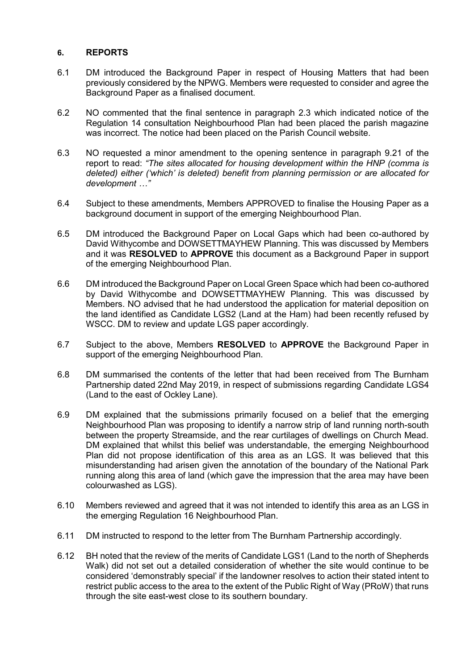#### **6. REPORTS**

- 6.1 DM introduced the Background Paper in respect of Housing Matters that had been previously considered by the NPWG. Members were requested to consider and agree the Background Paper as a finalised document.
- 6.2 NO commented that the final sentence in paragraph 2.3 which indicated notice of the Regulation 14 consultation Neighbourhood Plan had been placed the parish magazine was incorrect. The notice had been placed on the Parish Council website.
- 6.3 NO requested a minor amendment to the opening sentence in paragraph 9.21 of the report to read: *"The sites allocated for housing development within the HNP (comma is deleted) either ('which' is deleted) benefit from planning permission or are allocated for development …"*
- 6.4 Subject to these amendments, Members APPROVED to finalise the Housing Paper as a background document in support of the emerging Neighbourhood Plan.
- 6.5 DM introduced the Background Paper on Local Gaps which had been co-authored by David Withycombe and DOWSETTMAYHEW Planning. This was discussed by Members and it was **RESOLVED** to **APPROVE** this document as a Background Paper in support of the emerging Neighbourhood Plan.
- 6.6 DM introduced the Background Paper on Local Green Space which had been co-authored by David Withycombe and DOWSETTMAYHEW Planning. This was discussed by Members. NO advised that he had understood the application for material deposition on the land identified as Candidate LGS2 (Land at the Ham) had been recently refused by WSCC. DM to review and update LGS paper accordingly.
- 6.7 Subject to the above, Members **RESOLVED** to **APPROVE** the Background Paper in support of the emerging Neighbourhood Plan.
- 6.8 DM summarised the contents of the letter that had been received from The Burnham Partnership dated 22nd May 2019, in respect of submissions regarding Candidate LGS4 (Land to the east of Ockley Lane).
- 6.9 DM explained that the submissions primarily focused on a belief that the emerging Neighbourhood Plan was proposing to identify a narrow strip of land running north-south between the property Streamside, and the rear curtilages of dwellings on Church Mead. DM explained that whilst this belief was understandable, the emerging Neighbourhood Plan did not propose identification of this area as an LGS. It was believed that this misunderstanding had arisen given the annotation of the boundary of the National Park running along this area of land (which gave the impression that the area may have been colourwashed as LGS).
- 6.10 Members reviewed and agreed that it was not intended to identify this area as an LGS in the emerging Regulation 16 Neighbourhood Plan.
- 6.11 DM instructed to respond to the letter from The Burnham Partnership accordingly.
- 6.12 BH noted that the review of the merits of Candidate LGS1 (Land to the north of Shepherds Walk) did not set out a detailed consideration of whether the site would continue to be considered 'demonstrably special' if the landowner resolves to action their stated intent to restrict public access to the area to the extent of the Public Right of Way (PRoW) that runs through the site east-west close to its southern boundary.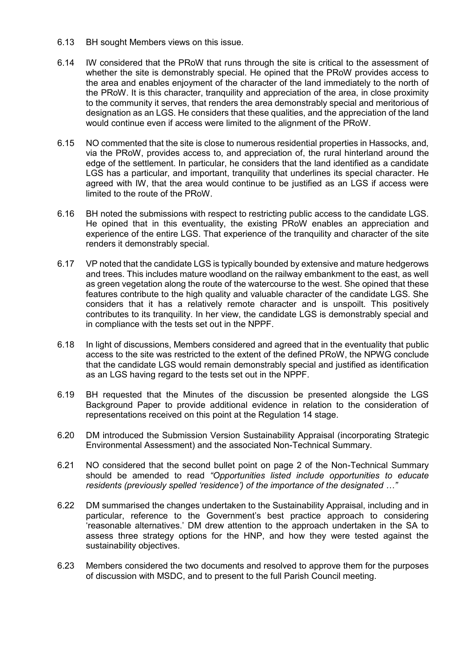- 6.13 BH sought Members views on this issue.
- 6.14 IW considered that the PRoW that runs through the site is critical to the assessment of whether the site is demonstrably special. He opined that the PRoW provides access to the area and enables enjoyment of the character of the land immediately to the north of the PRoW. It is this character, tranquility and appreciation of the area, in close proximity to the community it serves, that renders the area demonstrably special and meritorious of designation as an LGS. He considers that these qualities, and the appreciation of the land would continue even if access were limited to the alignment of the PRoW.
- 6.15 NO commented that the site is close to numerous residential properties in Hassocks, and, via the PRoW, provides access to, and appreciation of, the rural hinterland around the edge of the settlement. In particular, he considers that the land identified as a candidate LGS has a particular, and important, tranquility that underlines its special character. He agreed with IW, that the area would continue to be justified as an LGS if access were limited to the route of the PRoW.
- 6.16 BH noted the submissions with respect to restricting public access to the candidate LGS. He opined that in this eventuality, the existing PRoW enables an appreciation and experience of the entire LGS. That experience of the tranquility and character of the site renders it demonstrably special.
- 6.17 VP noted that the candidate LGS is typically bounded by extensive and mature hedgerows and trees. This includes mature woodland on the railway embankment to the east, as well as green vegetation along the route of the watercourse to the west. She opined that these features contribute to the high quality and valuable character of the candidate LGS. She considers that it has a relatively remote character and is unspoilt. This positively contributes to its tranquility. In her view, the candidate LGS is demonstrably special and in compliance with the tests set out in the NPPF.
- 6.18 In light of discussions, Members considered and agreed that in the eventuality that public access to the site was restricted to the extent of the defined PRoW, the NPWG conclude that the candidate LGS would remain demonstrably special and justified as identification as an LGS having regard to the tests set out in the NPPF.
- 6.19 BH requested that the Minutes of the discussion be presented alongside the LGS Background Paper to provide additional evidence in relation to the consideration of representations received on this point at the Regulation 14 stage.
- 6.20 DM introduced the Submission Version Sustainability Appraisal (incorporating Strategic Environmental Assessment) and the associated Non-Technical Summary.
- 6.21 NO considered that the second bullet point on page 2 of the Non-Technical Summary should be amended to read *"Opportunities listed include opportunities to educate residents (previously spelled 'residence') of the importance of the designated …"*
- 6.22 DM summarised the changes undertaken to the Sustainability Appraisal, including and in particular, reference to the Government's best practice approach to considering 'reasonable alternatives.' DM drew attention to the approach undertaken in the SA to assess three strategy options for the HNP, and how they were tested against the sustainability objectives.
- 6.23 Members considered the two documents and resolved to approve them for the purposes of discussion with MSDC, and to present to the full Parish Council meeting.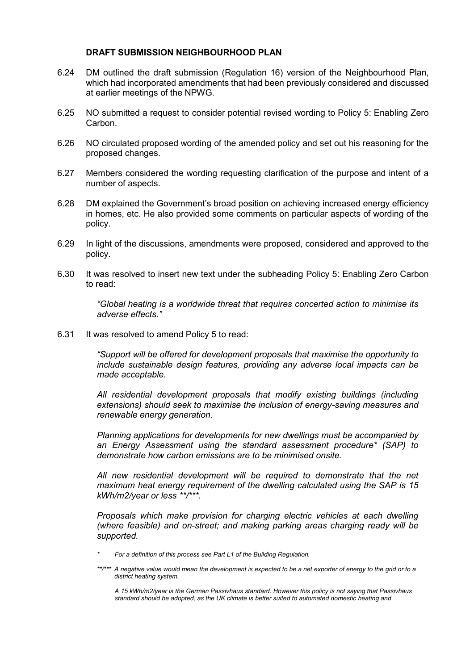#### **DRAFT SUBMISSION NEIGHBOURHOOD PLAN**

- 6.24 DM outlined the draft submission (Regulation 16) version of the Neighbourhood Plan, which had incorporated amendments that had been previously considered and discussed at earlier meetings of the NPWG.
- 6.25 NO submitted a request to consider potential revised wording to Policy 5: Enabling Zero **Carbon**
- 6.26 NO circulated proposed wording of the amended policy and set out his reasoning for the proposed changes.
- 6.27 Members considered the wording requesting clarification of the purpose and intent of a number of aspects.
- 6.28 DM explained the Government's broad position on achieving increased energy efficiency in homes, etc. He also provided some comments on particular aspects of wording of the policy.
- 6.29 In light of the discussions, amendments were proposed, considered and approved to the policy.
- 6.30 It was resolved to insert new text under the subheading Policy 5: Enabling Zero Carbon to read:

*"Global heating is a worldwide threat that requires concerted action to minimise its adverse effects."*

6.31 It was resolved to amend Policy 5 to read:

*"Support will be offered for development proposals that maximise the opportunity to include sustainable design features, providing any adverse local impacts can be made acceptable.*

*All residential development proposals that modify existing buildings (including extensions) should seek to maximise the inclusion of energy-saving measures and renewable energy generation.*

*Planning applications for developments for new dwellings must be accompanied by an Energy Assessment using the standard assessment procedure\* (SAP) to demonstrate how carbon emissions are to be minimised onsite.*

*All new residential development will be required to demonstrate that the net maximum heat energy requirement of the dwelling calculated using the SAP is 15 kWh/m2/year or less \*\*/\*\*\*.*

*Proposals which make provision for charging electric vehicles at each dwelling (where feasible) and on-street; and making parking areas charging ready will be supported.*

*\* For a definition of this process see Part L1 of the Building Regulation.*

*A 15 kWh/m2/year is the German Passivhaus standard. However this policy is not saying that Passivhaus standard should be adopted, as the UK climate is better suited to automated domestic heating and* 

*<sup>\*\*/\*\*\*</sup> A negative value would mean the development is expected to be a net exporter of energy to the grid or to a district heating system.*